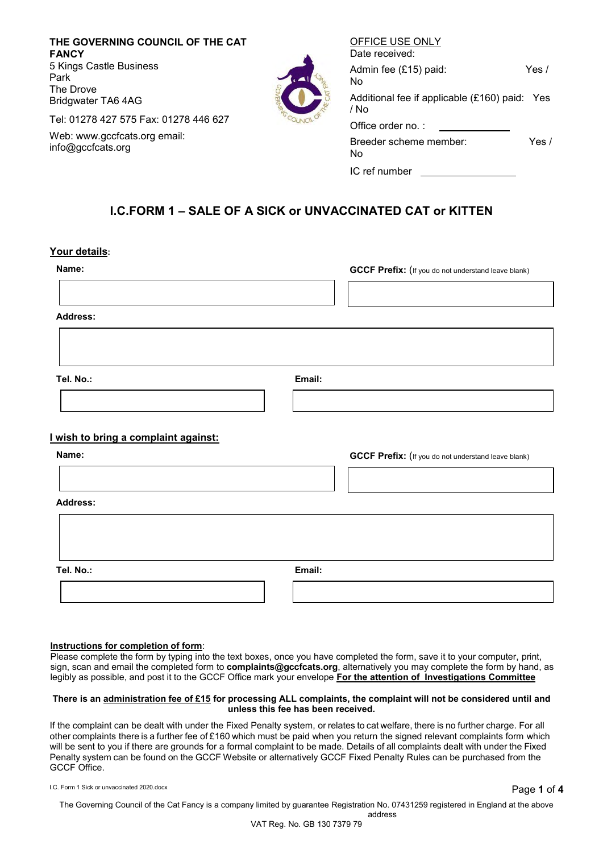**THE GOVERNING COUNCIL OF THE CAT FANCY** 5 Kings Castle Business Park The Drove Bridgwater TA6 4AG

Tel: 01278 427 575 Fax: 01278 446 627

Web: www.gccfcats.org email: info@gccfcats.org



| Date received:                                        |         |
|-------------------------------------------------------|---------|
| Admin fee (£15) paid:<br>No                           | Yes /   |
| Additional fee if applicable (£160) paid: Yes<br>/ No |         |
| Office order no.:                                     |         |
| Breeder scheme member:<br>No                          | Yes $/$ |
| IC ref number                                         |         |

OFFICE USE ONLY

# **I.C.FORM 1 – SALE OF A SICK or UNVACCINATED CAT or KITTEN**

### **Your details:**

| Name:<br><b>Address:</b>                             | <b>GCCF Prefix:</b> (If you do not understand leave blank) |
|------------------------------------------------------|------------------------------------------------------------|
| Tel. No.:                                            | Email:                                                     |
| <u>I wish to bring a complaint against:</u><br>Name: | <b>GCCF Prefix:</b> (If you do not understand leave blank) |
| <b>Address:</b>                                      |                                                            |
| Tel. No.:                                            | Email:                                                     |

### **Instructions for completion of form**:

Please complete the form by typing into the text boxes, once you have completed the form, save it to your computer, print, sign, scan and email the completed form to **complaints@gccfcats.org**, alternatively you may complete the form by hand, as legibly as possible, and post it to the GCCF Office mark your envelope **For the attention of Investigations Committee**

#### **There is an administration fee of £15 for processing ALL complaints, the complaint will not be considered until and unless this fee has been received.**

If the complaint can be dealt with under the Fixed Penalty system, or relates to cat welfare, there is no further charge. For all other complaints there is a further fee of £160 which must be paid when you return the signed relevant complaints form which will be sent to you if there are grounds for a formal complaint to be made. Details of all complaints dealt with under the Fixed Penalty system can be found on the GCCF Website or alternatively GCCF Fixed Penalty Rules can be purchased from the GCCF Office.

I.C. Form 1 Sick or unvaccinated 2020.docx Page **1** of **4**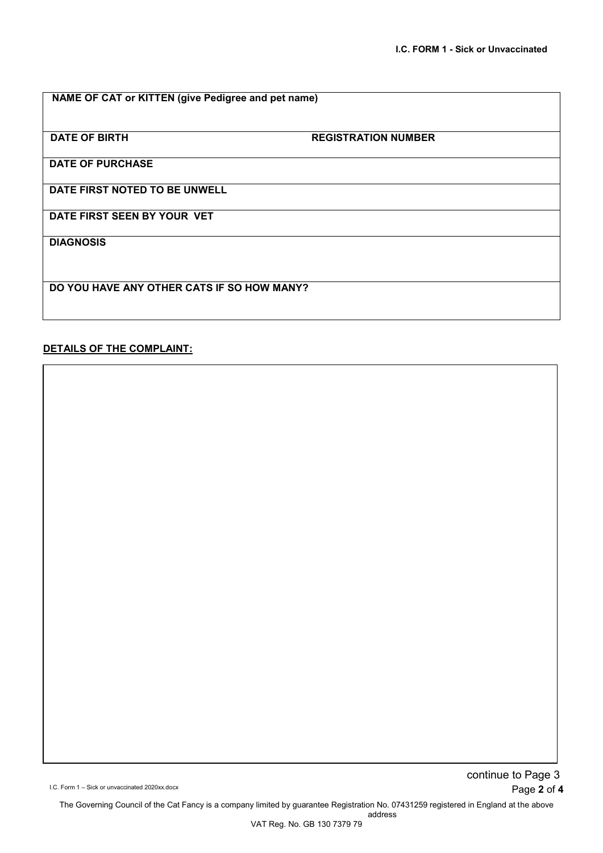| NAME OF CAT or KITTEN (give Pedigree and pet name) |  |
|----------------------------------------------------|--|
|----------------------------------------------------|--|

**DATE OF BIRTH REGISTRATION NUMBER**

**DATE OF PURCHASE**

**DATE FIRST NOTED TO BE UNWELL**

**DATE FIRST SEEN BY YOUR VET**

**DIAGNOSIS**

**DO YOU HAVE ANY OTHER CATS IF SO HOW MANY?**

### **DETAILS OF THE COMPLAINT:**

I.C. Form 1 – Sick or unvaccinated 2020xx.docx Page **2** of **4** continue to Page 3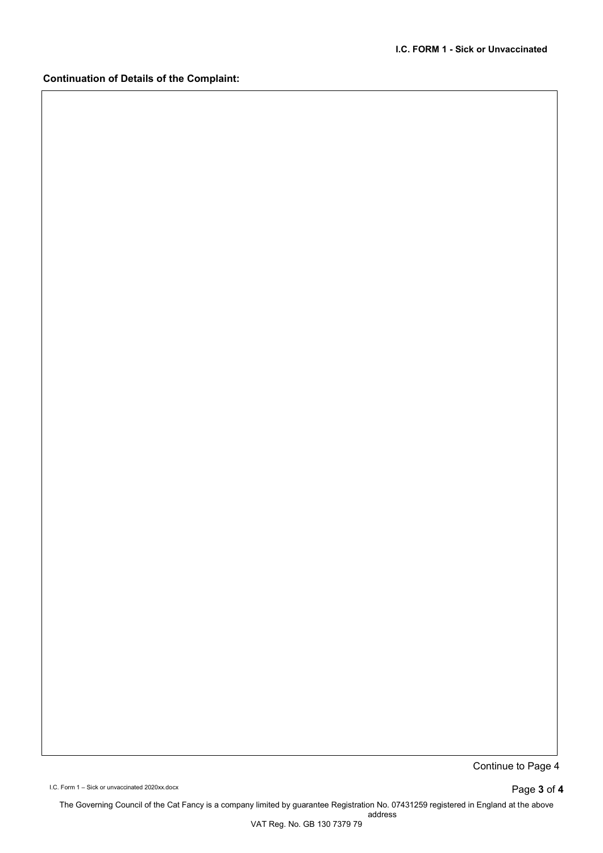### **Continuation of Details of the Complaint:**

Continue to Page 4

I.C. Form 1 – Sick or unvaccinated 2020xx.docx Page **3** of **4**